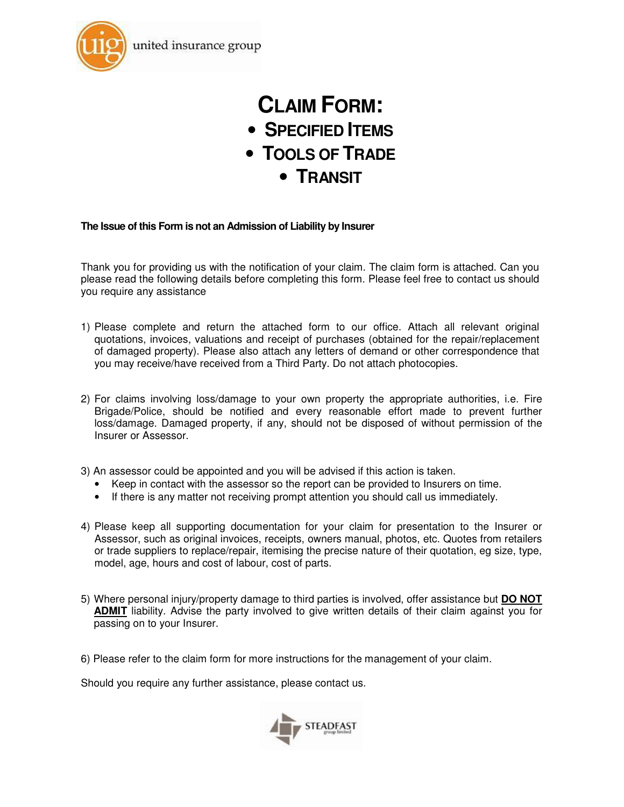

# **CLAIM FORM:**

- **SPECIFIED ITEMS**
- **TOOLS OF TRADE**
	- **TRANSIT**

#### **The Issue of this Form is not an Admission of Liability by Insurer**

Thank you for providing us with the notification of your claim. The claim form is attached. Can you please read the following details before completing this form. Please feel free to contact us should you require any assistance

- 1) Please complete and return the attached form to our office. Attach all relevant original quotations, invoices, valuations and receipt of purchases (obtained for the repair/replacement of damaged property). Please also attach any letters of demand or other correspondence that you may receive/have received from a Third Party. Do not attach photocopies.
- 2) For claims involving loss/damage to your own property the appropriate authorities, i.e. Fire Brigade/Police, should be notified and every reasonable effort made to prevent further loss/damage. Damaged property, if any, should not be disposed of without permission of the Insurer or Assessor.
- 3) An assessor could be appointed and you will be advised if this action is taken.
	- Keep in contact with the assessor so the report can be provided to Insurers on time.
	- If there is any matter not receiving prompt attention you should call us immediately.
- 4) Please keep all supporting documentation for your claim for presentation to the Insurer or Assessor, such as original invoices, receipts, owners manual, photos, etc. Quotes from retailers or trade suppliers to replace/repair, itemising the precise nature of their quotation, eg size, type, model, age, hours and cost of labour, cost of parts.
- 5) Where personal injury/property damage to third parties is involved, offer assistance but **DO NOT ADMIT** liability. Advise the party involved to give written details of their claim against you for passing on to your Insurer.
- 6) Please refer to the claim form for more instructions for the management of your claim.

Should you require any further assistance, please contact us.

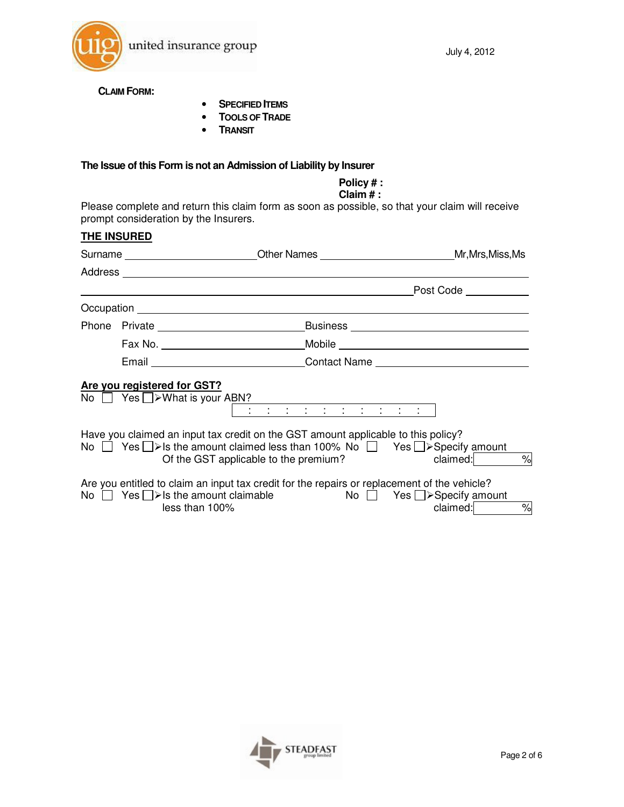

**CLAIM FORM:** 

- **SPECIFIED ITEMS**
- **TOOLS OF TRADE**
- **TRANSIT**

#### **The Issue of this Form is not an Admission of Liability by Insurer**

## **Policy # :**

#### **Claim # :**

Please complete and return this claim form as soon as possible, so that your claim will receive prompt consideration by the Insurers.

# **THE INSURED**

|  |                                                                         | Surname _______________________________Other Names ______________________________Mr,Mrs,Miss,Ms                                                                                                                                          |                                                                 |
|--|-------------------------------------------------------------------------|------------------------------------------------------------------------------------------------------------------------------------------------------------------------------------------------------------------------------------------|-----------------------------------------------------------------|
|  |                                                                         |                                                                                                                                                                                                                                          |                                                                 |
|  |                                                                         |                                                                                                                                                                                                                                          | Post Code __________                                            |
|  |                                                                         |                                                                                                                                                                                                                                          |                                                                 |
|  |                                                                         |                                                                                                                                                                                                                                          |                                                                 |
|  |                                                                         |                                                                                                                                                                                                                                          |                                                                 |
|  |                                                                         | Email ________________________________Contact Name _____________________________                                                                                                                                                         |                                                                 |
|  | Are you registered for GST?<br>No $\Box$ Yes $\Box$ > What is your ABN? | : : : : : : : : : : : :                                                                                                                                                                                                                  |                                                                 |
|  |                                                                         | Have you claimed an input tax credit on the GST amount applicable to this policy?<br>No $\Box$ Yes $\Box$ > Is the amount claimed less than 100% No $\Box$ Yes $\Box$ > Specify amount<br>Of the GST applicable to the premium? claimed: | $\%$                                                            |
|  | No $\Box$ Yes $\Box$ > Is the amount claimable<br>less than 100%        | Are you entitled to claim an input tax credit for the repairs or replacement of the vehicle?                                                                                                                                             | No $\Box$ Yes $\Box$ > Specify amount<br>$\%$<br>claimed: _____ |

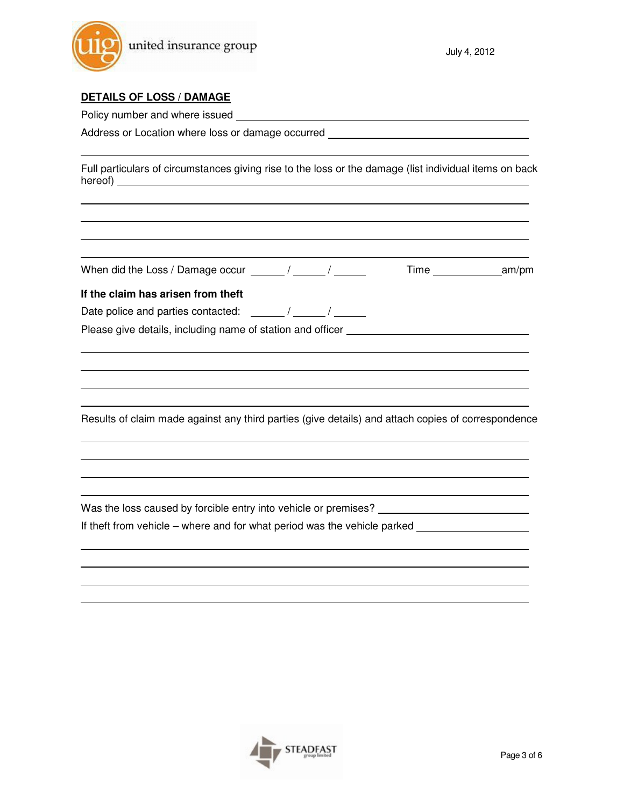

#### **DETAILS OF LOSS / DAMAGE**

Policy number and where issued \_\_\_\_\_\_\_\_\_\_

Address or Location where loss or damage occurred \_\_\_\_\_\_\_\_\_\_

Full particulars of circumstances giving rise to the loss or the damage (list individual items on back hereof)

When did the Loss / Damage occur  $\frac{1}{2}$  /  $\frac{1}{2}$  /  $\frac{1}{2}$  Time  $\frac{1}{2}$  am/pm

#### **If the claim has arisen from theft**

Date police and parties contacted:  $\frac{1}{2}$  /  $\frac{1}{2}$  /  $\frac{1}{2}$ 

Please give details, including name of station and officer \_\_\_\_\_\_\_\_\_\_

Results of claim made against any third parties (give details) and attach copies of correspondence

Was the loss caused by forcible entry into vehicle or premises? \_\_\_\_\_\_\_\_\_\_

If theft from vehicle – where and for what period was the vehicle parked

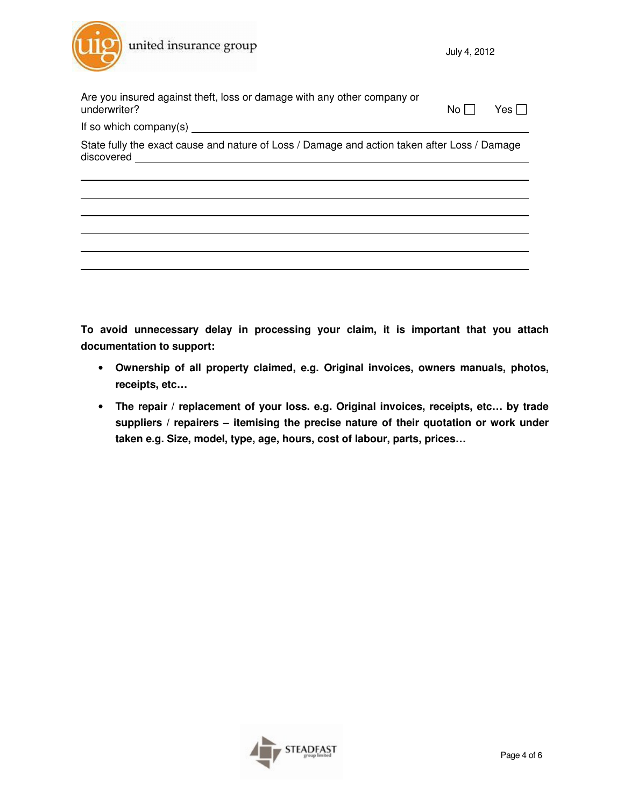

| Are you insured against theft, loss or damage with any other company or<br>underwriter?                    | No l | Yes |  |  |  |  |  |
|------------------------------------------------------------------------------------------------------------|------|-----|--|--|--|--|--|
|                                                                                                            |      |     |  |  |  |  |  |
| State fully the exact cause and nature of Loss / Damage and action taken after Loss / Damage<br>discovered |      |     |  |  |  |  |  |
|                                                                                                            |      |     |  |  |  |  |  |
|                                                                                                            |      |     |  |  |  |  |  |
|                                                                                                            |      |     |  |  |  |  |  |
|                                                                                                            |      |     |  |  |  |  |  |
|                                                                                                            |      |     |  |  |  |  |  |
|                                                                                                            |      |     |  |  |  |  |  |

**To avoid unnecessary delay in processing your claim, it is important that you attach documentation to support:** 

- **Ownership of all property claimed, e.g. Original invoices, owners manuals, photos, receipts, etc…**
- **The repair / replacement of your loss. e.g. Original invoices, receipts, etc… by trade suppliers / repairers – itemising the precise nature of their quotation or work under taken e.g. Size, model, type, age, hours, cost of labour, parts, prices…**

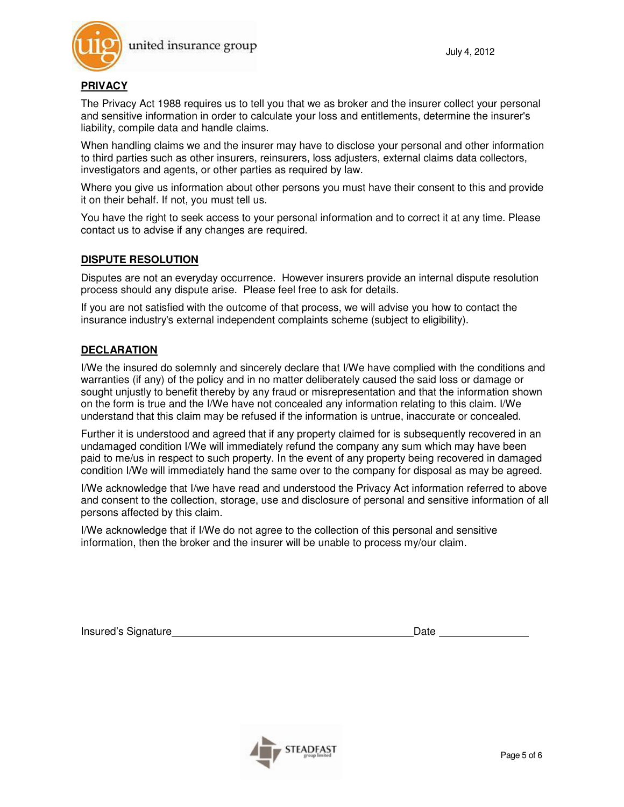

#### **PRIVACY**

The Privacy Act 1988 requires us to tell you that we as broker and the insurer collect your personal and sensitive information in order to calculate your loss and entitlements, determine the insurer's liability, compile data and handle claims.

When handling claims we and the insurer may have to disclose your personal and other information to third parties such as other insurers, reinsurers, loss adjusters, external claims data collectors, investigators and agents, or other parties as required by law.

Where you give us information about other persons you must have their consent to this and provide it on their behalf. If not, you must tell us.

You have the right to seek access to your personal information and to correct it at any time. Please contact us to advise if any changes are required.

#### **DISPUTE RESOLUTION**

Disputes are not an everyday occurrence. However insurers provide an internal dispute resolution process should any dispute arise. Please feel free to ask for details.

If you are not satisfied with the outcome of that process, we will advise you how to contact the insurance industry's external independent complaints scheme (subject to eligibility).

#### **DECLARATION**

I/We the insured do solemnly and sincerely declare that I/We have complied with the conditions and warranties (if any) of the policy and in no matter deliberately caused the said loss or damage or sought unjustly to benefit thereby by any fraud or misrepresentation and that the information shown on the form is true and the I/We have not concealed any information relating to this claim. I/We understand that this claim may be refused if the information is untrue, inaccurate or concealed.

Further it is understood and agreed that if any property claimed for is subsequently recovered in an undamaged condition I/We will immediately refund the company any sum which may have been paid to me/us in respect to such property. In the event of any property being recovered in damaged condition I/We will immediately hand the same over to the company for disposal as may be agreed.

I/We acknowledge that I/we have read and understood the Privacy Act information referred to above and consent to the collection, storage, use and disclosure of personal and sensitive information of all persons affected by this claim.

I/We acknowledge that if I/We do not agree to the collection of this personal and sensitive information, then the broker and the insurer will be unable to process my/our claim.

Insured's Signature **Date** Date **Date** Date **Date**